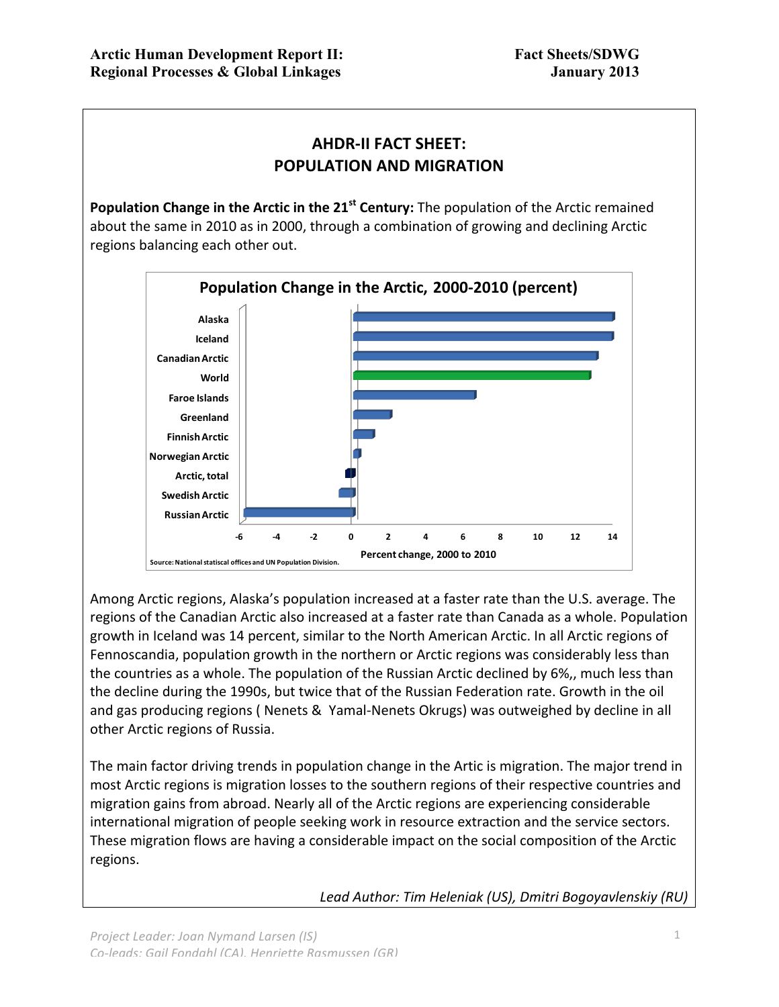### **AHDR-II FACT SHEET: POPULATION AND MIGRATION**

**Population Change in the Arctic in the 21<sup>st</sup> Century:** The population of the Arctic remained about the same in 2010 as in 2000, through a combination of growing and declining Arctic regions balancing each other out.



Among Arctic regions, Alaska's population increased at a faster rate than the U.S. average. The regions of the Canadian Arctic also increased at a faster rate than Canada as a whole. Population growth in Iceland was 14 percent, similar to the North American Arctic. In all Arctic regions of Fennoscandia, population growth in the northern or Arctic regions was considerably less than the countries as a whole. The population of the Russian Arctic declined by 6%,, much less than the decline during the 1990s, but twice that of the Russian Federation rate. Growth in the oil and gas producing regions (Nenets & Yamal-Nenets Okrugs) was outweighed by decline in all other Arctic regions of Russia.

The main factor driving trends in population change in the Artic is migration. The major trend in most Arctic regions is migration losses to the southern regions of their respective countries and migration gains from abroad. Nearly all of the Arctic regions are experiencing considerable international migration of people seeking work in resource extraction and the service sectors. These migration flows are having a considerable impact on the social composition of the Arctic regions.

Lead Author: Tim Heleniak (US), Dmitri Bogoyavlenskiy (RU)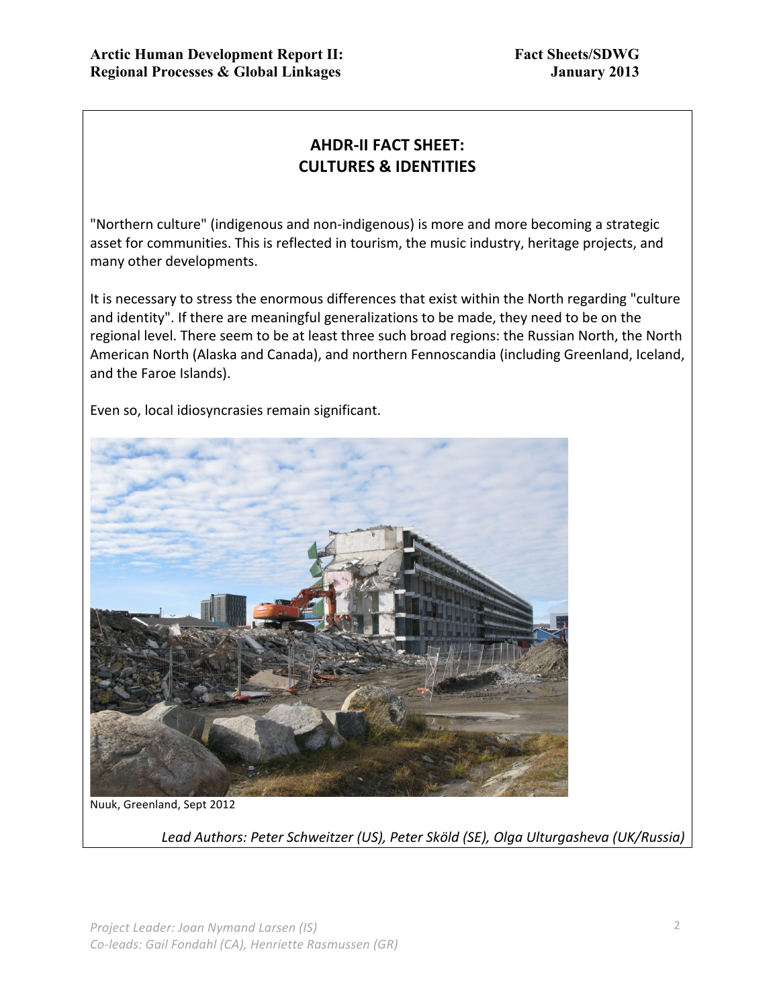## **AHDR-II FACT SHEET: CULTURES & IDENTITIES**

"Northern culture" (indigenous and non-indigenous) is more and more becoming a strategic asset for communities. This is reflected in tourism, the music industry, heritage projects, and many other developments.

It is necessary to stress the enormous differences that exist within the North regarding "culture and identity". If there are meaningful generalizations to be made, they need to be on the regional level. There seem to be at least three such broad regions: the Russian North, the North American North (Alaska and Canada), and northern Fennoscandia (including Greenland, Iceland, and the Faroe Islands).

Even so, local idiosyncrasies remain significant.



Nuuk, Greenland, Sept 2012

Lead Authors: Peter Schweitzer (US), Peter Sköld (SE), Olga Ulturgasheva (UK/Russia)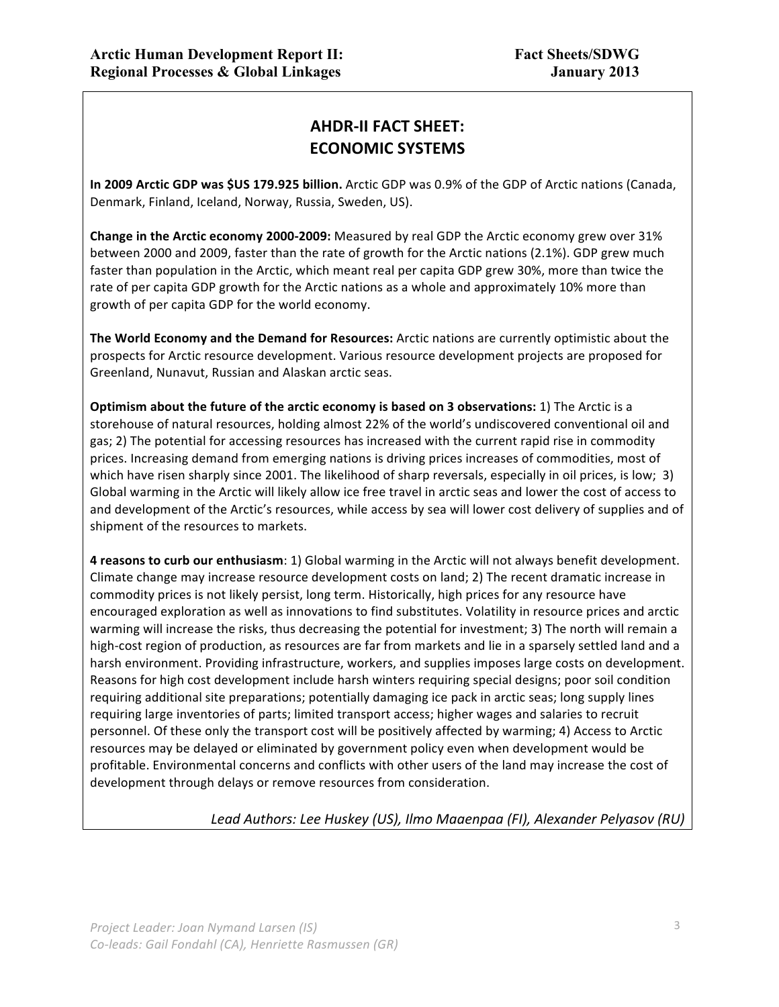## **AHDR-II FACT SHEET: ECONOMIC SYSTEMS**

**In 2009 Arctic GDP was \$US 179.925 billion.** Arctic GDP was 0.9% of the GDP of Arctic nations (Canada, Denmark, Finland, Iceland, Norway, Russia, Sweden, US).

**Change in the Arctic economy 2000-2009:** Measured by real GDP the Arctic economy grew over 31% between 2000 and 2009, faster than the rate of growth for the Arctic nations (2.1%). GDP grew much faster than population in the Arctic, which meant real per capita GDP grew 30%, more than twice the rate of per capita GDP growth for the Arctic nations as a whole and approximately 10% more than growth of per capita GDP for the world economy.

**The World Economy and the Demand for Resources:** Arctic nations are currently optimistic about the prospects for Arctic resource development. Various resource development projects are proposed for Greenland, Nunavut, Russian and Alaskan arctic seas.

**Optimism about the future of the arctic economy is based on 3 observations:** 1) The Arctic is a storehouse of natural resources, holding almost 22% of the world's undiscovered conventional oil and gas; 2) The potential for accessing resources has increased with the current rapid rise in commodity prices. Increasing demand from emerging nations is driving prices increases of commodities, most of which have risen sharply since 2001. The likelihood of sharp reversals, especially in oil prices, is low; 3) Global warming in the Arctic will likely allow ice free travel in arctic seas and lower the cost of access to and development of the Arctic's resources, while access by sea will lower cost delivery of supplies and of shipment of the resources to markets.

**4 reasons to curb our enthusiasm**: 1) Global warming in the Arctic will not always benefit development. Climate change may increase resource development costs on land; 2) The recent dramatic increase in commodity prices is not likely persist, long term. Historically, high prices for any resource have encouraged exploration as well as innovations to find substitutes. Volatility in resource prices and arctic warming will increase the risks, thus decreasing the potential for investment; 3) The north will remain a high-cost region of production, as resources are far from markets and lie in a sparsely settled land and a harsh environment. Providing infrastructure, workers, and supplies imposes large costs on development. Reasons for high cost development include harsh winters requiring special designs; poor soil condition requiring additional site preparations; potentially damaging ice pack in arctic seas; long supply lines requiring large inventories of parts; limited transport access; higher wages and salaries to recruit personnel. Of these only the transport cost will be positively affected by warming; 4) Access to Arctic resources may be delayed or eliminated by government policy even when development would be profitable. Environmental concerns and conflicts with other users of the land may increase the cost of development through delays or remove resources from consideration.

*Lead Authors: Lee Huskey (US), Ilmo Maaenpaa (FI), Alexander Pelyasov (RU)*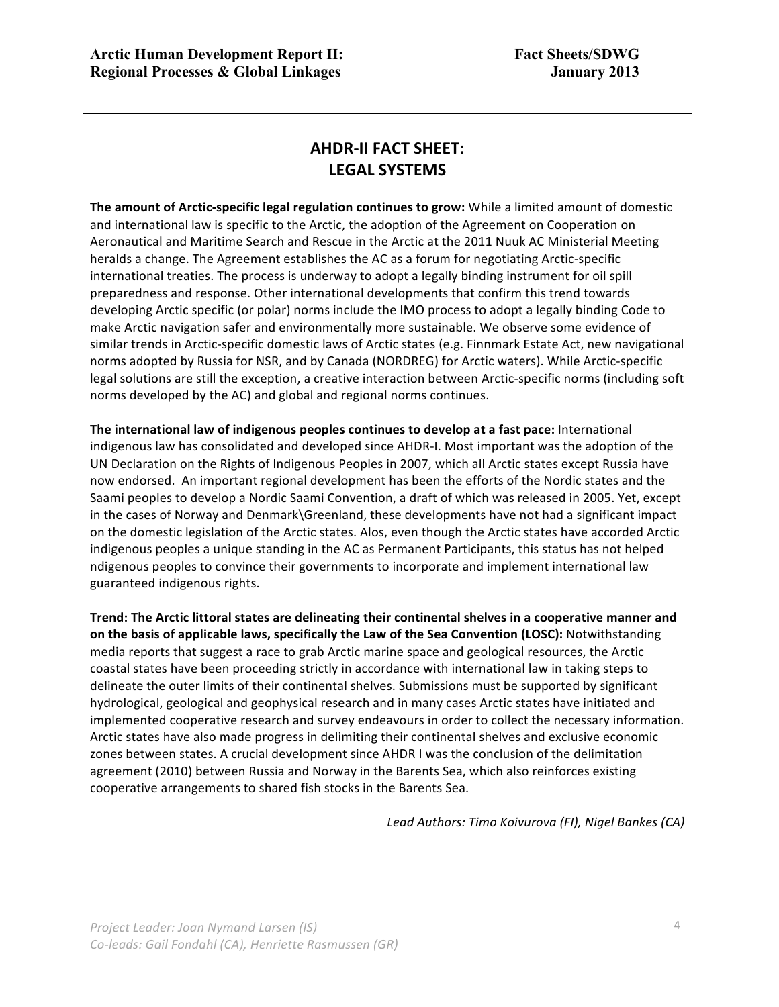# **AHDR-II FACT SHEET: LEGAL SYSTEMS**

**The amount of Arctic-specific legal regulation continues to grow:** While a limited amount of domestic and international law is specific to the Arctic, the adoption of the Agreement on Cooperation on Aeronautical and Maritime Search and Rescue in the Arctic at the 2011 Nuuk AC Ministerial Meeting heralds a change. The Agreement establishes the AC as a forum for negotiating Arctic-specific international treaties. The process is underway to adopt a legally binding instrument for oil spill preparedness and response. Other international developments that confirm this trend towards developing Arctic specific (or polar) norms include the IMO process to adopt a legally binding Code to make Arctic navigation safer and environmentally more sustainable. We observe some evidence of similar trends in Arctic-specific domestic laws of Arctic states (e.g. Finnmark Estate Act, new navigational norms adopted by Russia for NSR, and by Canada (NORDREG) for Arctic waters). While Arctic-specific legal solutions are still the exception, a creative interaction between Arctic-specific norms (including soft norms developed by the AC) and global and regional norms continues.

**The international law of indigenous peoples continues to develop at a fast pace:** International indigenous law has consolidated and developed since AHDR-I. Most important was the adoption of the UN Declaration on the Rights of Indigenous Peoples in 2007, which all Arctic states except Russia have now endorsed. An important regional development has been the efforts of the Nordic states and the Saami peoples to develop a Nordic Saami Convention, a draft of which was released in 2005. Yet, except in the cases of Norway and Denmark\Greenland, these developments have not had a significant impact on the domestic legislation of the Arctic states. Alos, even though the Arctic states have accorded Arctic indigenous peoples a unique standing in the AC as Permanent Participants, this status has not helped ndigenous peoples to convince their governments to incorporate and implement international law guaranteed indigenous rights.

**Trend:** The Arctic littoral states are delineating their continental shelves in a cooperative manner and **on the basis of applicable laws, specifically the Law of the Sea Convention (LOSC):** Notwithstanding media reports that suggest a race to grab Arctic marine space and geological resources, the Arctic coastal states have been proceeding strictly in accordance with international law in taking steps to delineate the outer limits of their continental shelves. Submissions must be supported by significant hydrological, geological and geophysical research and in many cases Arctic states have initiated and implemented cooperative research and survey endeavours in order to collect the necessary information. Arctic states have also made progress in delimiting their continental shelves and exclusive economic zones between states. A crucial development since AHDR I was the conclusion of the delimitation agreement (2010) between Russia and Norway in the Barents Sea, which also reinforces existing cooperative arrangements to shared fish stocks in the Barents Sea.

Lead Authors: Timo Koivurova (FI), Nigel Bankes (CA)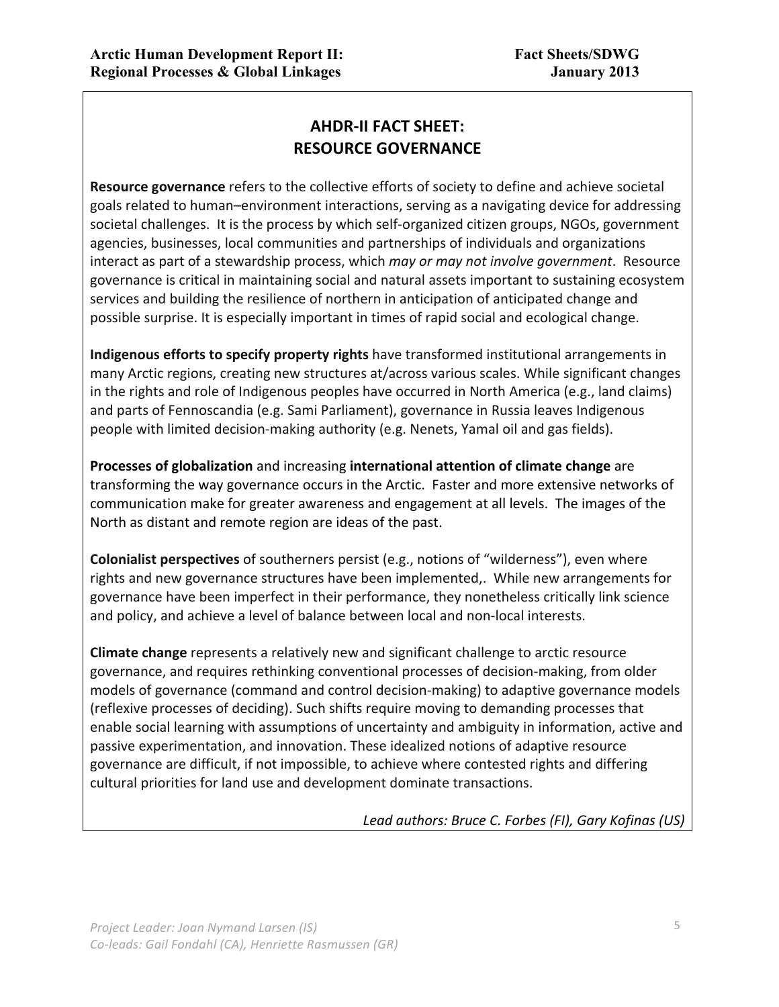### **AHDR-II FACT SHEET: RESOURCE GOVERNANCE**

**Resource governance** refers to the collective efforts of society to define and achieve societal goals related to human-environment interactions, serving as a navigating device for addressing societal challenges. It is the process by which self-organized citizen groups, NGOs, government agencies, businesses, local communities and partnerships of individuals and organizations interact as part of a stewardship process, which *may or may not involve government*. Resource governance is critical in maintaining social and natural assets important to sustaining ecosystem services and building the resilience of northern in anticipation of anticipated change and possible surprise. It is especially important in times of rapid social and ecological change.

**Indigenous efforts to specify property rights** have transformed institutional arrangements in many Arctic regions, creating new structures at/across various scales. While significant changes in the rights and role of Indigenous peoples have occurred in North America (e.g., land claims) and parts of Fennoscandia (e.g. Sami Parliament), governance in Russia leaves Indigenous people with limited decision-making authority (e.g. Nenets, Yamal oil and gas fields).

**Processes of globalization** and increasing **international attention of climate change** are transforming the way governance occurs in the Arctic. Faster and more extensive networks of communication make for greater awareness and engagement at all levels. The images of the North as distant and remote region are ideas of the past.

**Colonialist perspectives** of southerners persist (e.g., notions of "wilderness"), even where rights and new governance structures have been implemented,. While new arrangements for governance have been imperfect in their performance, they nonetheless critically link science and policy, and achieve a level of balance between local and non-local interests.

**Climate change** represents a relatively new and significant challenge to arctic resource governance, and requires rethinking conventional processes of decision-making, from older models of governance (command and control decision-making) to adaptive governance models (reflexive processes of deciding). Such shifts require moving to demanding processes that enable social learning with assumptions of uncertainty and ambiguity in information, active and passive experimentation, and innovation. These idealized notions of adaptive resource governance are difficult, if not impossible, to achieve where contested rights and differing cultural priorities for land use and development dominate transactions.

Lead authors: Bruce C. Forbes (FI), Gary Kofinas (US)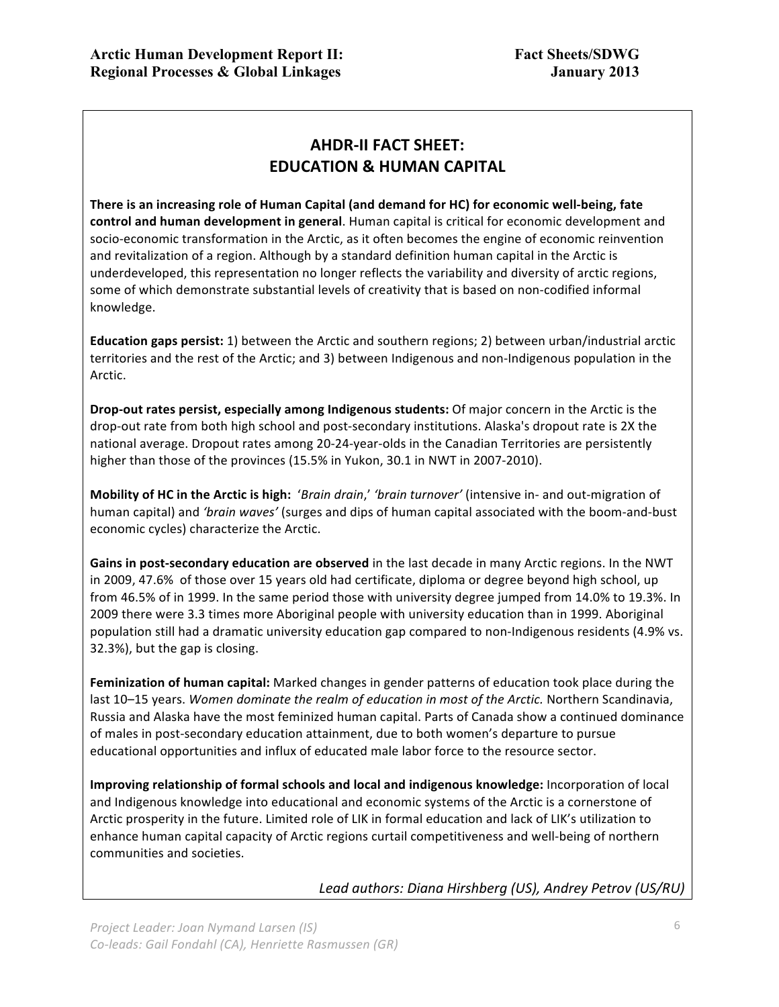## **AHDR-II FACT SHEET: EDUCATION & HUMAN CAPITAL**

**There is an increasing role of Human Capital (and demand for HC) for economic well-being, fate control and human development in general**. Human capital is critical for economic development and socio-economic transformation in the Arctic, as it often becomes the engine of economic reinvention and revitalization of a region. Although by a standard definition human capital in the Arctic is underdeveloped, this representation no longer reflects the variability and diversity of arctic regions, some of which demonstrate substantial levels of creativity that is based on non-codified informal knowledge. 

**Education gaps persist:** 1) between the Arctic and southern regions; 2) between urban/industrial arctic territories and the rest of the Arctic; and 3) between Indigenous and non-Indigenous population in the Arctic. 

**Drop-out rates persist, especially among Indigenous students:** Of major concern in the Arctic is the drop-out rate from both high school and post-secondary institutions. Alaska's dropout rate is 2X the national average. Dropout rates among 20-24-year-olds in the Canadian Territories are persistently higher than those of the provinces (15.5% in Yukon, 30.1 in NWT in 2007-2010).

**Mobility of HC** in the Arctic is high: 'Brain drain,' 'brain turnover' (intensive in- and out-migration of human capital) and 'brain waves' (surges and dips of human capital associated with the boom-and-bust economic cycles) characterize the Arctic.

**Gains in post-secondary education are observed** in the last decade in many Arctic regions. In the NWT in 2009, 47.6% of those over 15 years old had certificate, diploma or degree beyond high school, up from 46.5% of in 1999. In the same period those with university degree jumped from 14.0% to 19.3%. In 2009 there were 3.3 times more Aboriginal people with university education than in 1999. Aboriginal population still had a dramatic university education gap compared to non-Indigenous residents (4.9% vs. 32.3%), but the gap is closing.

Feminization of human capital: Marked changes in gender patterns of education took place during the last 10–15 years. Women dominate the realm of education in most of the Arctic. Northern Scandinavia, Russia and Alaska have the most feminized human capital. Parts of Canada show a continued dominance of males in post-secondary education attainment, due to both women's departure to pursue educational opportunities and influx of educated male labor force to the resource sector.

**Improving relationship of formal schools and local and indigenous knowledge:** Incorporation of local and Indigenous knowledge into educational and economic systems of the Arctic is a cornerstone of Arctic prosperity in the future. Limited role of LIK in formal education and lack of LIK's utilization to enhance human capital capacity of Arctic regions curtail competitiveness and well-being of northern communities and societies.

*Lead authors: Diana Hirshberg (US), Andrey Petrov (US/RU)*